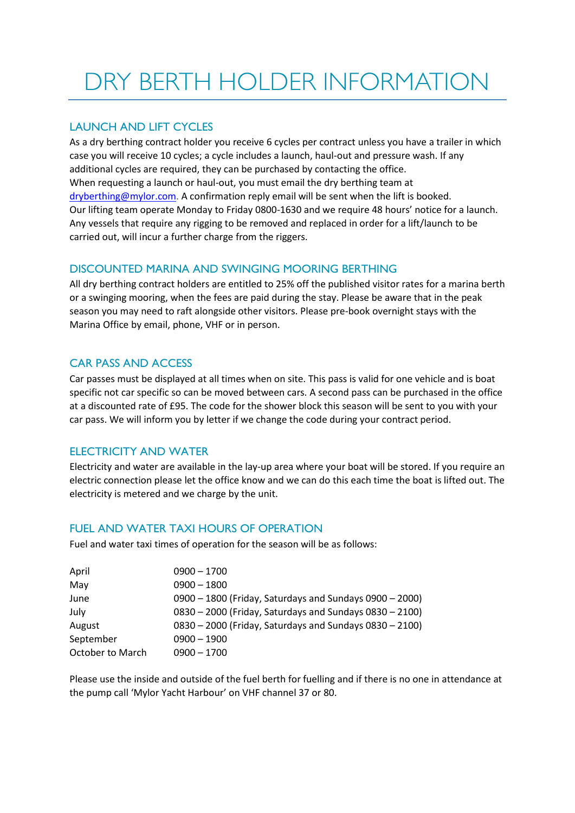# DRY BERTH HOLDER INFORMATION

## LAUNCH AND LIFT CYCLES

As a dry berthing contract holder you receive 6 cycles per contract unless you have a trailer in which case you will receive 10 cycles; a cycle includes a launch, haul-out and pressure wash. If any additional cycles are required, they can be purchased by contacting the office. When requesting a launch or haul-out, you must email the dry berthing team at [dryberthing@mylor.com.](mailto:dryberthing@mylor.com) A confirmation reply email will be sent when the lift is booked. Our lifting team operate Monday to Friday 0800-1630 and we require 48 hours' notice for a launch. Any vessels that require any rigging to be removed and replaced in order for a lift/launch to be carried out, will incur a further charge from the riggers.

## DISCOUNTED MARINA AND SWINGING MOORING BERTHING

All dry berthing contract holders are entitled to 25% off the published visitor rates for a marina berth or a swinging mooring, when the fees are paid during the stay. Please be aware that in the peak season you may need to raft alongside other visitors. Please pre-book overnight stays with the Marina Office by email, phone, VHF or in person.

## CAR PASS AND ACCESS

Car passes must be displayed at all times when on site. This pass is valid for one vehicle and is boat specific not car specific so can be moved between cars. A second pass can be purchased in the office at a discounted rate of £95. The code for the shower block this season will be sent to you with your car pass. We will inform you by letter if we change the code during your contract period.

#### ELECTRICITY AND WATER

Electricity and water are available in the lay-up area where your boat will be stored. If you require an electric connection please let the office know and we can do this each time the boat is lifted out. The electricity is metered and we charge by the unit.

#### FUEL AND WATER TAXI HOURS OF OPERATION

Fuel and water taxi times of operation for the season will be as follows:

| April            | $0900 - 1700$                                           |
|------------------|---------------------------------------------------------|
| May              | $0900 - 1800$                                           |
| June             | 0900 - 1800 (Friday, Saturdays and Sundays 0900 - 2000) |
| July             | 0830 - 2000 (Friday, Saturdays and Sundays 0830 - 2100) |
| August           | 0830 - 2000 (Friday, Saturdays and Sundays 0830 - 2100) |
| September        | $0900 - 1900$                                           |
| October to March | $0900 - 1700$                                           |

Please use the inside and outside of the fuel berth for fuelling and if there is no one in attendance at the pump call 'Mylor Yacht Harbour' on VHF channel 37 or 80.